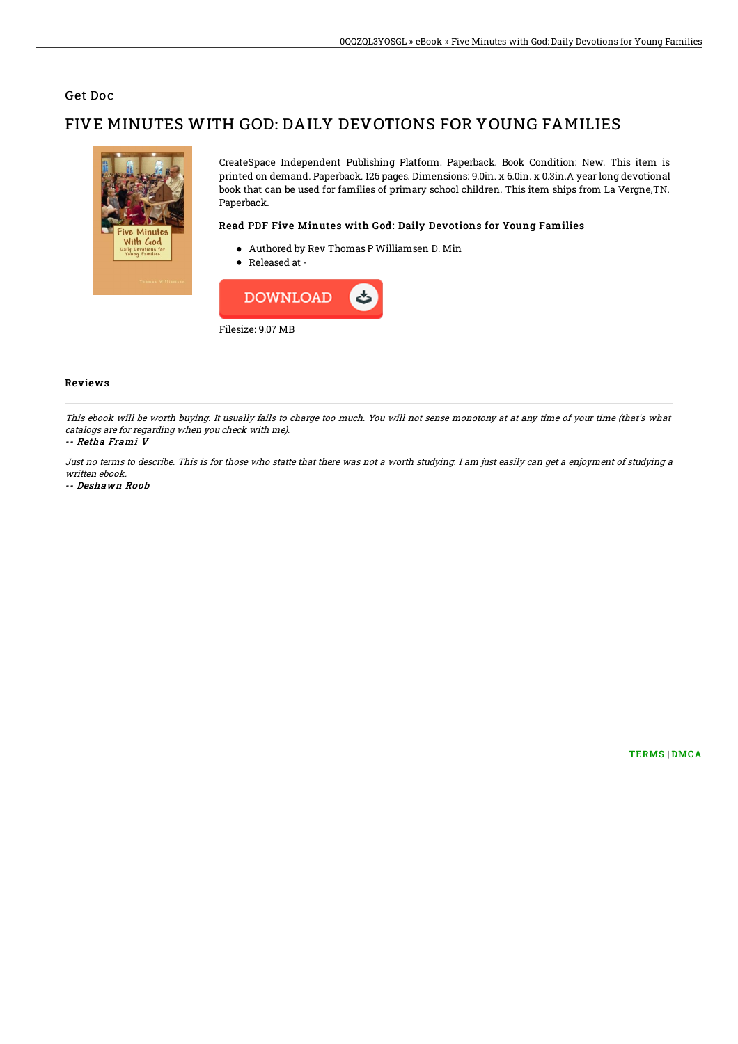### Get Doc

# FIVE MINUTES WITH GOD: DAILY DEVOTIONS FOR YOUNG FAMILIES



CreateSpace Independent Publishing Platform. Paperback. Book Condition: New. This item is printed on demand. Paperback. 126 pages. Dimensions: 9.0in. x 6.0in. x 0.3in.A year long devotional book that can be used for families of primary school children. This item ships from La Vergne,TN. Paperback.

### Read PDF Five Minutes with God: Daily Devotions for Young Families

- Authored by Rev Thomas P Williamsen D. Min
- Released at -



#### Reviews

This ebook will be worth buying. It usually fails to charge too much. You will not sense monotony at at any time of your time (that's what catalogs are for regarding when you check with me).

#### -- Retha Frami V

Just no terms to describe. This is for those who statte that there was not <sup>a</sup> worth studying. I am just easily can get <sup>a</sup> enjoyment of studying <sup>a</sup> written ebook.

#### -- Deshawn Roob